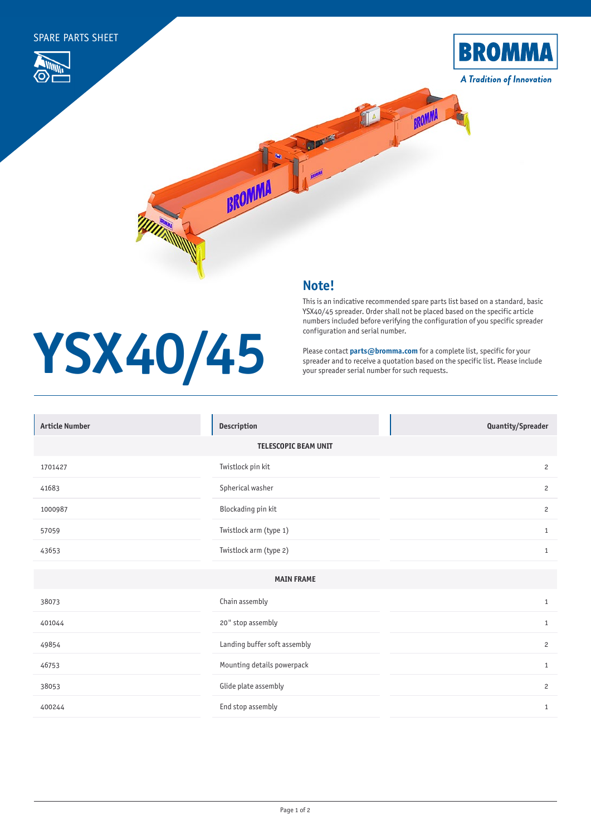

## **Note!**

**YSX40/45**

## This is an indicative recommended spare parts list based on a standard, basic YSX40/45 spreader. Order shall not be placed based on the specific article numbers included before verifying the configuration of you specific spreader configuration and serial number.

Please contact **[parts@bromma.com](mailto:parts%40bromma.com?subject=)** for a complete list, specific for your spreader and to receive a quotation based on the specific list. Please include your spreader serial number for such requests.

| <b>Article Number</b>       | Description                  | Quantity/Spreader |  |
|-----------------------------|------------------------------|-------------------|--|
| <b>TELESCOPIC BEAM UNIT</b> |                              |                   |  |
| 1701427                     | Twistlock pin kit            | 2                 |  |
| 41683                       | Spherical washer             | $\overline{c}$    |  |
| 1000987                     | Blockading pin kit           | $\overline{c}$    |  |
| 57059                       | Twistlock arm (type 1)       | $\mathbf{1}$      |  |
| 43653                       | Twistlock arm (type 2)       | $\mathbf{1}$      |  |
|                             |                              |                   |  |
| <b>MAIN FRAME</b>           |                              |                   |  |
| 38073                       | Chain assembly               | $1\,$             |  |
| 401044                      | 20" stop assembly            | $\mathbf{1}$      |  |
| 49854                       | Landing buffer soft assembly | $\overline{c}$    |  |
| 46753                       | Mounting details powerpack   | $\mathbf{1}$      |  |
| 38053                       | Glide plate assembly         | $\overline{c}$    |  |
| 400244                      | End stop assembly            | $\mathbf{1}$      |  |
|                             |                              |                   |  |
|                             |                              |                   |  |